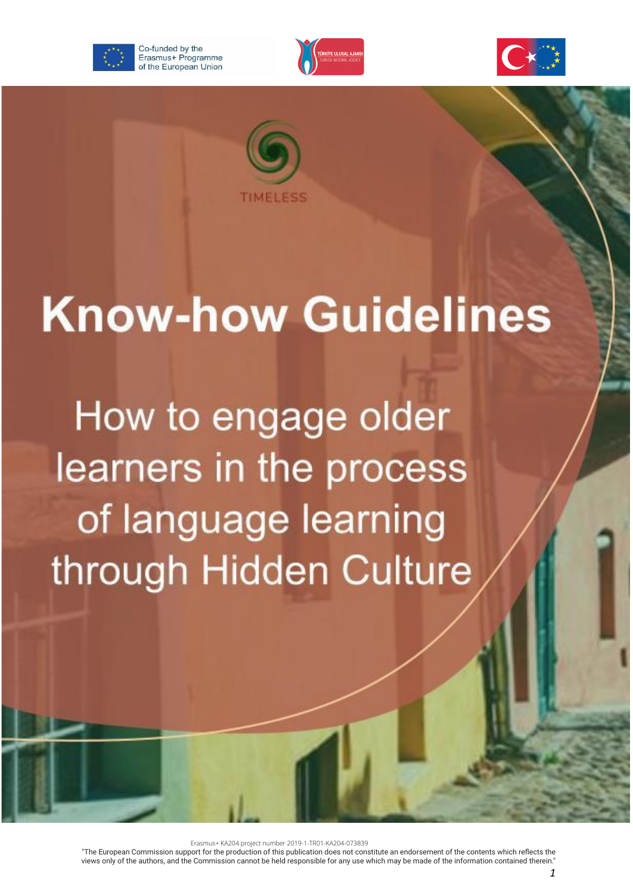







# **Know-how Guidelines**

How to engage older learners in the process of language learning through Hidden Culture

Erasmus+ KA204 project number 2019-1-TR01-KA204-073839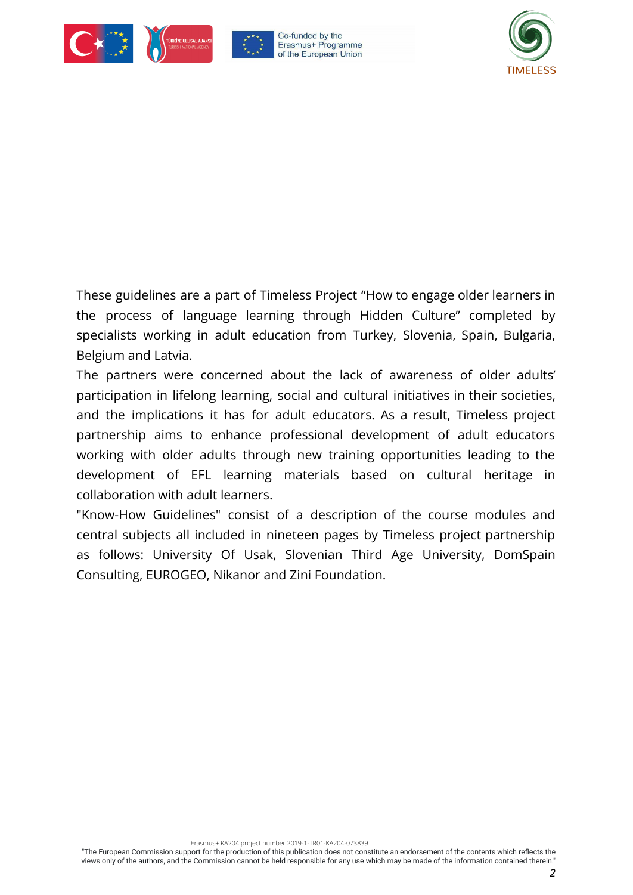





These guidelines are a part of Timeless Project "How to engage older learners in the process of language learning through Hidden Culture" completed by specialists working in adult education from Turkey, Slovenia, Spain, Bulgaria, Belgium and Latvia.

The partners were concerned about the lack of awareness of older adults' participation in lifelong learning, social and cultural initiatives in their societies, and the implications it has for adult educators. As a result, Timeless project partnership aims to enhance professional development of adult educators working with older adults through new training opportunities leading to the development of EFL learning materials based on cultural heritage in collaboration with adult learners.

"Know-How Guidelines" consist of a description of the course modules and central subjects all included in nineteen pages by Timeless project partnership as follows: University Of Usak, Slovenian Third Age University, DomSpain Consulting, EUROGEO, Nikanor and Zini Foundation.

Erasmus+ KA204 project number 2019-1-TR01-KA204-073839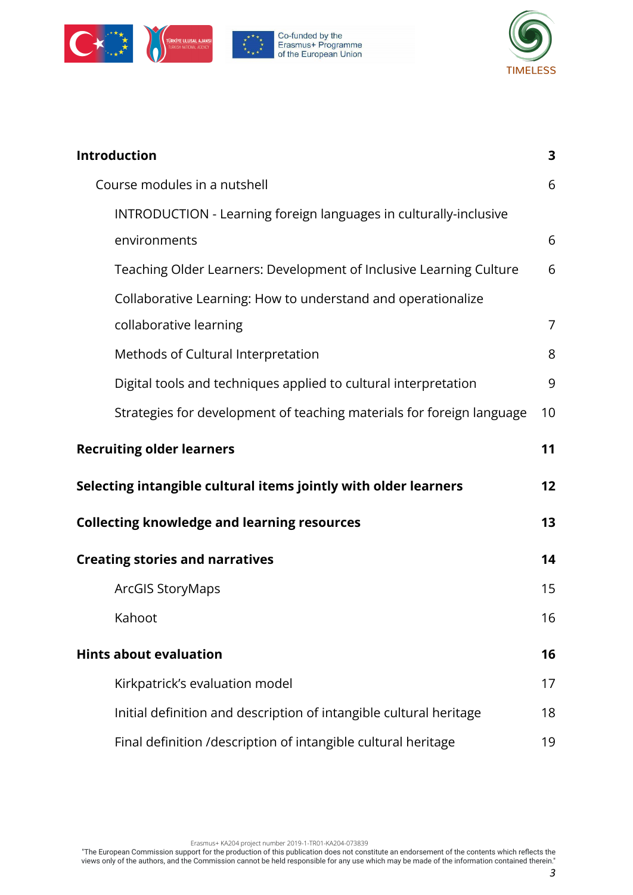







| Introduction                                                          | 3  |
|-----------------------------------------------------------------------|----|
| Course modules in a nutshell                                          | 6  |
| INTRODUCTION - Learning foreign languages in culturally-inclusive     |    |
| environments                                                          | 6  |
| Teaching Older Learners: Development of Inclusive Learning Culture    | 6  |
| Collaborative Learning: How to understand and operationalize          |    |
| collaborative learning                                                | 7  |
| Methods of Cultural Interpretation                                    | 8  |
| Digital tools and techniques applied to cultural interpretation       | 9  |
| Strategies for development of teaching materials for foreign language | 10 |
| <b>Recruiting older learners</b>                                      | 11 |
| Selecting intangible cultural items jointly with older learners       | 12 |
| <b>Collecting knowledge and learning resources</b>                    | 13 |
| <b>Creating stories and narratives</b>                                | 14 |
| <b>ArcGIS StoryMaps</b>                                               | 15 |
| Kahoot                                                                | 16 |
| <b>Hints about evaluation</b>                                         | 16 |
| Kirkpatrick's evaluation model                                        | 17 |
| Initial definition and description of intangible cultural heritage    | 18 |
| Final definition /description of intangible cultural heritage         | 19 |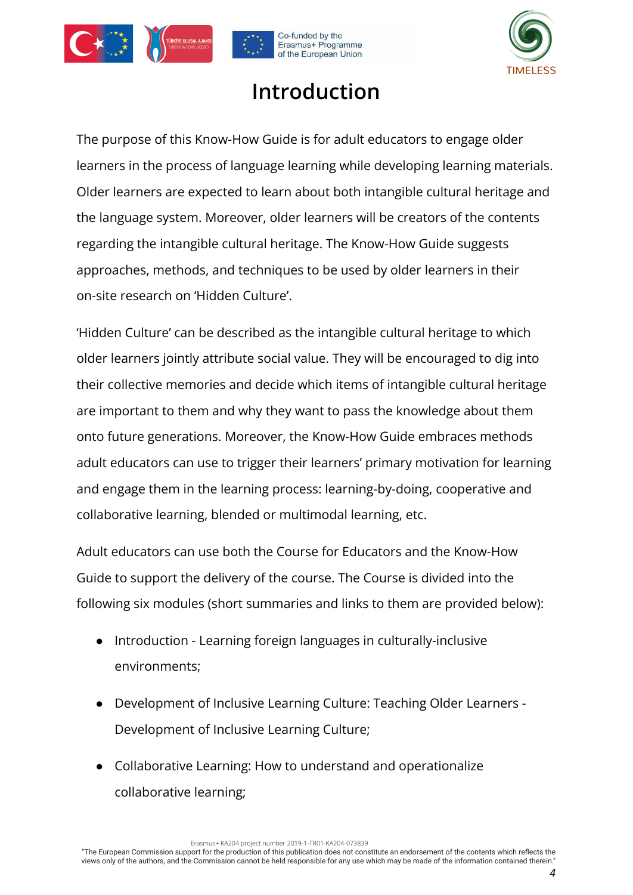<span id="page-3-0"></span>





### **Introduction**

The purpose of this Know-How Guide is for adult educators to engage older learners in the process of language learning while developing learning materials. Older learners are expected to learn about both intangible cultural heritage and the language system. Moreover, older learners will be creators of the contents regarding the intangible cultural heritage. The Know-How Guide suggests approaches, methods, and techniques to be used by older learners in their on-site research on 'Hidden Culture'.

'Hidden Culture' can be described as the intangible cultural heritage to which older learners jointly attribute social value. They will be encouraged to dig into their collective memories and decide which items of intangible cultural heritage are important to them and why they want to pass the knowledge about them onto future generations. Moreover, the Know-How Guide embraces methods adult educators can use to trigger their learners' primary motivation for learning and engage them in the learning process: learning-by-doing, cooperative and collaborative learning, blended or multimodal learning, etc.

Adult educators can use both the Course for Educators and the Know-How Guide to support the delivery of the course. The Course is divided into the following six modules (short summaries and links to them are provided below):

- Introduction Learning foreign languages in culturally-inclusive environments;
- Development of Inclusive Learning Culture: Teaching Older Learners Development of Inclusive Learning Culture;
- Collaborative Learning: How to understand and operationalize collaborative learning;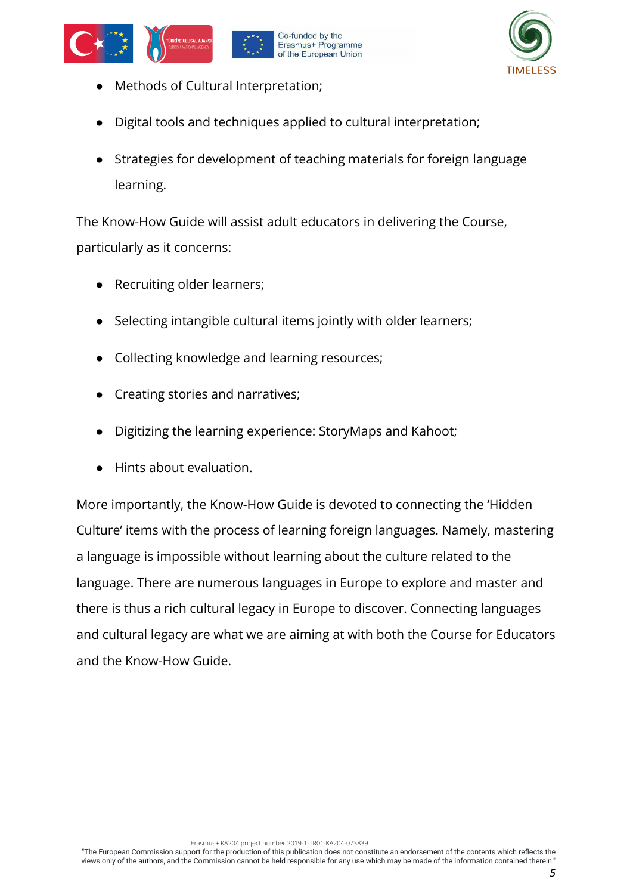





- Methods of Cultural Interpretation;
- Digital tools and techniques applied to cultural interpretation;
- Strategies for development of teaching materials for foreign language learning.

The Know-How Guide will assist adult educators in delivering the Course, particularly as it concerns:

- Recruiting older learners;
- Selecting intangible cultural items jointly with older learners;
- Collecting knowledge and learning resources;
- **Creating stories and narratives;**
- Digitizing the learning experience: StoryMaps and Kahoot;
- Hints about evaluation.

More importantly, the Know-How Guide is devoted to connecting the 'Hidden Culture' items with the process of learning foreign languages. Namely, mastering a language is impossible without learning about the culture related to the language. There are numerous languages in Europe to explore and master and there is thus a rich cultural legacy in Europe to discover. Connecting languages and cultural legacy are what we are aiming at with both the Course for Educators and the Know-How Guide.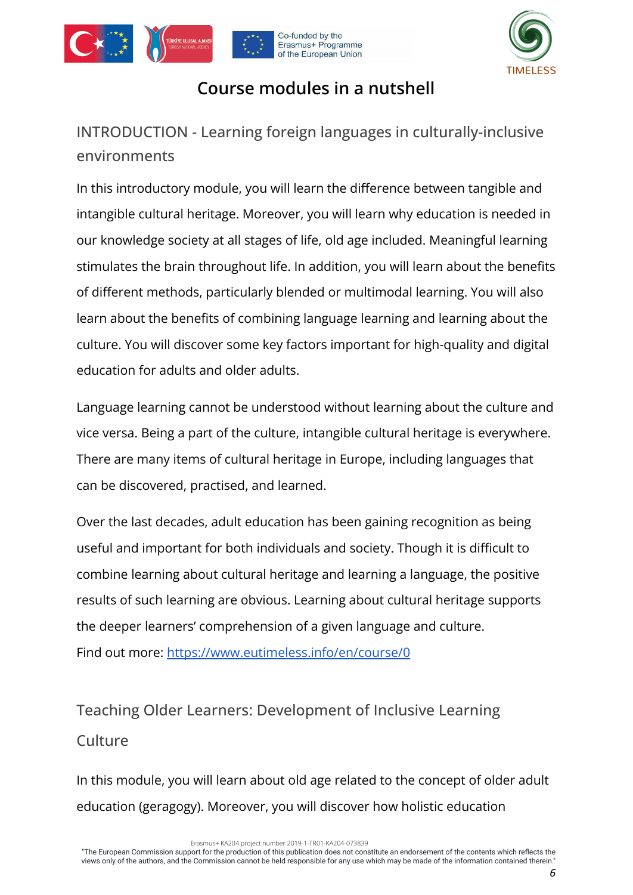





### **Course modules in a nutshell**

<span id="page-5-1"></span><span id="page-5-0"></span>INTRODUCTION - Learning foreign languages in culturally-inclusive environments

In this introductory module, you will learn the difference between tangible and intangible cultural heritage. Moreover, you will learn why education is needed in our knowledge society at all stages of life, old age included. Meaningful learning stimulates the brain throughout life. In addition, you will learn about the benefits of different methods, particularly blended or multimodal learning. You will also learn about the benefits of combining language learning and learning about the culture. You will discover some key factors important for high-quality and digital education for adults and older adults.

Language learning cannot be understood without learning about the culture and vice versa. Being a part of the culture, intangible cultural heritage is everywhere. There are many items of cultural heritage in Europe, including languages that can be discovered, practised, and learned.

Over the last decades, adult education has been gaining recognition as being useful and important for both individuals and society. Though it is difficult to combine learning about cultural heritage and learning a language, the positive results of such learning are obvious. Learning about cultural heritage supports the deeper learners' comprehension of a given language and culture. Find out more: <https://www.eutimeless.info/en/course/0>

### <span id="page-5-2"></span>Teaching Older Learners: Development of Inclusive Learning **Culture**

In this module, you will learn about old age related to the concept of older adult education (geragogy). Moreover, you will discover how holistic education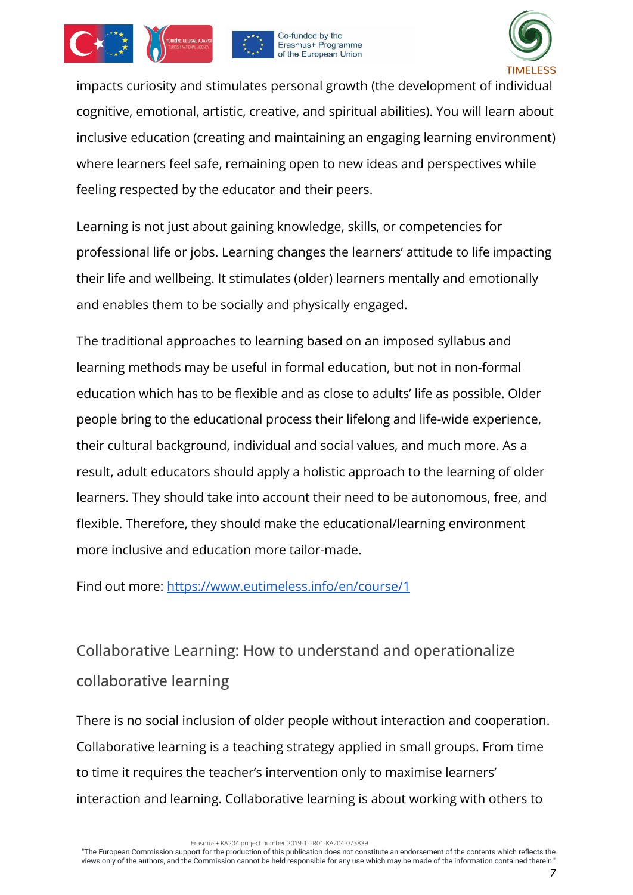





impacts curiosity and stimulates personal growth (the development of individual cognitive, emotional, artistic, creative, and spiritual abilities). You will learn about inclusive education (creating and maintaining an engaging learning environment) where learners feel safe, remaining open to new ideas and perspectives while feeling respected by the educator and their peers.

Learning is not just about gaining knowledge, skills, or competencies for professional life or jobs. Learning changes the learners' attitude to life impacting their life and wellbeing. It stimulates (older) learners mentally and emotionally and enables them to be socially and physically engaged.

The traditional approaches to learning based on an imposed syllabus and learning methods may be useful in formal education, but not in non-formal education which has to be flexible and as close to adults' life as possible. Older people bring to the educational process their lifelong and life-wide experience, their cultural background, individual and social values, and much more. As a result, adult educators should apply a holistic approach to the learning of older learners. They should take into account their need to be autonomous, free, and flexible. Therefore, they should make the educational/learning environment more inclusive and education more tailor-made.

Find out more: <https://www.eutimeless.info/en/course/1>

### <span id="page-6-0"></span>Collaborative Learning: How to understand and operationalize collaborative learning

There is no social inclusion of older people without interaction and cooperation. Collaborative learning is a teaching strategy applied in small groups. From time to time it requires the teacher's intervention only to maximise learners' interaction and learning. Collaborative learning is about working with others to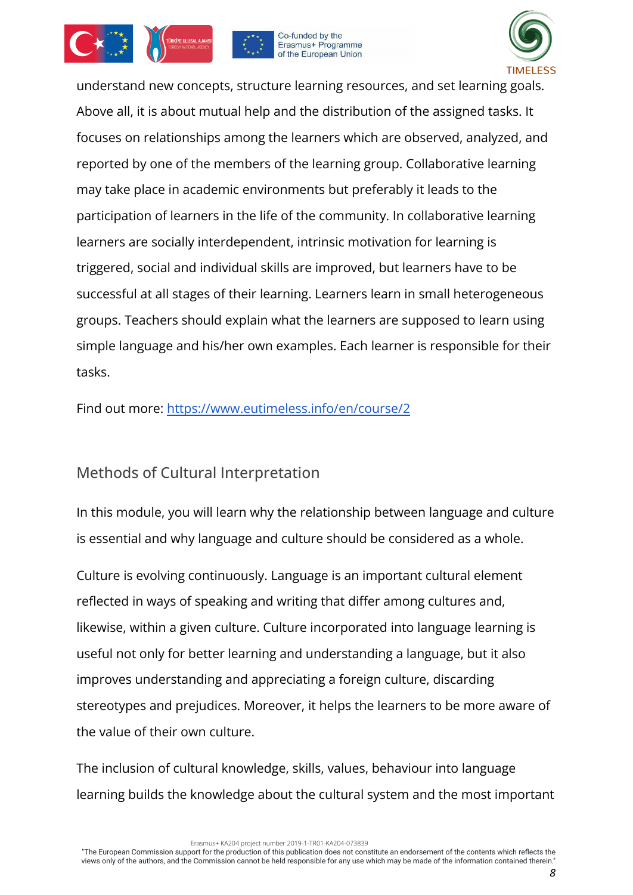





understand new concepts, structure learning resources, and set learning goals. Above all, it is about mutual help and the distribution of the assigned tasks. It focuses on relationships among the learners which are observed, analyzed, and reported by one of the members of the learning group. Collaborative learning may take place in academic environments but preferably it leads to the participation of learners in the life of the community. In collaborative learning learners are socially interdependent, intrinsic motivation for learning is triggered, social and individual skills are improved, but learners have to be successful at all stages of their learning. Learners learn in small heterogeneous groups. Teachers should explain what the learners are supposed to learn using simple language and his/her own examples. Each learner is responsible for their tasks.

Find out more: <https://www.eutimeless.info/en/course/2>

### <span id="page-7-0"></span>Methods of Cultural Interpretation

In this module, you will learn why the relationship between language and culture is essential and why language and culture should be considered as a whole.

Culture is evolving continuously. Language is an important cultural element reflected in ways of speaking and writing that differ among cultures and, likewise, within a given culture. Culture incorporated into language learning is useful not only for better learning and understanding a language, but it also improves understanding and appreciating a foreign culture, discarding stereotypes and prejudices. Moreover, it helps the learners to be more aware of the value of their own culture.

The inclusion of cultural knowledge, skills, values, behaviour into language learning builds the knowledge about the cultural system and the most important

Erasmus+ KA204 project number 2019-1-TR01-KA204-073839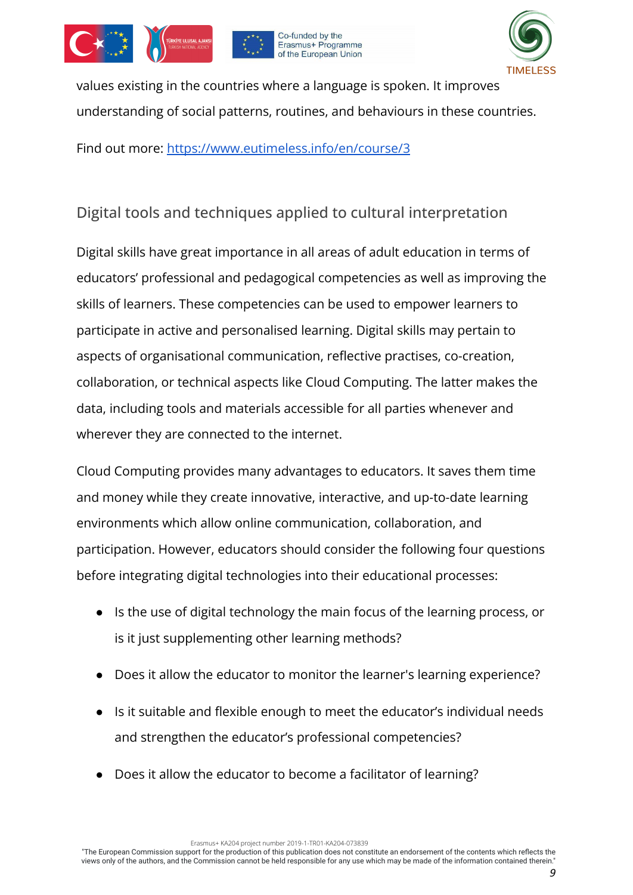







values existing in the countries where a language is spoken. It improves understanding of social patterns, routines, and behaviours in these countries.

Find out more: <https://www.eutimeless.info/en/course/3>

### <span id="page-8-0"></span>Digital tools and techniques applied to cultural interpretation

Digital skills have great importance in all areas of adult education in terms of educators' professional and pedagogical competencies as well as improving the skills of learners. These competencies can be used to empower learners to participate in active and personalised learning. Digital skills may pertain to aspects of organisational communication, reflective practises, co-creation, collaboration, or technical aspects like Cloud Computing. The latter makes the data, including tools and materials accessible for all parties whenever and wherever they are connected to the internet.

Cloud Computing provides many advantages to educators. It saves them time and money while they create innovative, interactive, and up-to-date learning environments which allow online communication, collaboration, and participation. However, educators should consider the following four questions before integrating digital technologies into their educational processes:

- Is the use of digital technology the main focus of the learning process, or is it just supplementing other learning methods?
- Does it allow the educator to monitor the learner's learning experience?
- Is it suitable and flexible enough to meet the educator's individual needs and strengthen the educator's professional competencies?
- Does it allow the educator to become a facilitator of learning?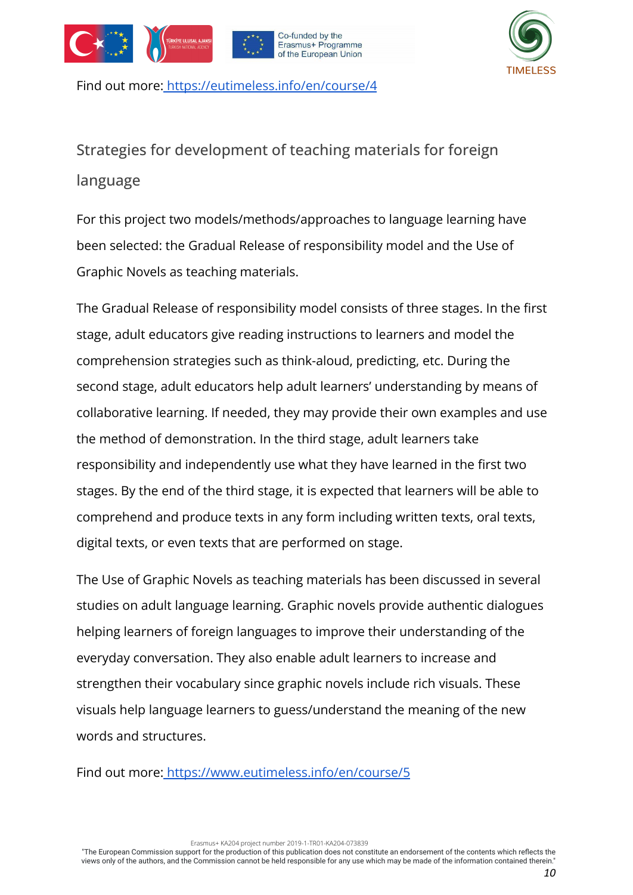







Find out more: <https://eutimeless.info/en/course/4>

<span id="page-9-0"></span>Strategies for development of teaching materials for foreign language

For this project two models/methods/approaches to language learning have been selected: the Gradual Release of responsibility model and the Use of Graphic Novels as teaching materials.

The Gradual Release of responsibility model consists of three stages. In the first stage, adult educators give reading instructions to learners and model the comprehension strategies such as think-aloud, predicting, etc. During the second stage, adult educators help adult learners' understanding by means of collaborative learning. If needed, they may provide their own examples and use the method of demonstration. In the third stage, adult learners take responsibility and independently use what they have learned in the first two stages. By the end of the third stage, it is expected that learners will be able to comprehend and produce texts in any form including written texts, oral texts, digital texts, or even texts that are performed on stage.

The Use of Graphic Novels as teaching materials has been discussed in several studies on adult language learning. Graphic novels provide authentic dialogues helping learners of foreign languages to improve their understanding of the everyday conversation. They also enable adult learners to increase and strengthen their vocabulary since graphic novels include rich visuals. These visuals help language learners to guess/understand the meaning of the new words and structures.

Find out more[:](https://eutimeless.info/en/course/4) <https://www.eutimeless.info/en/course/5>

Erasmus+ KA204 project number 2019-1-TR01-KA204-073839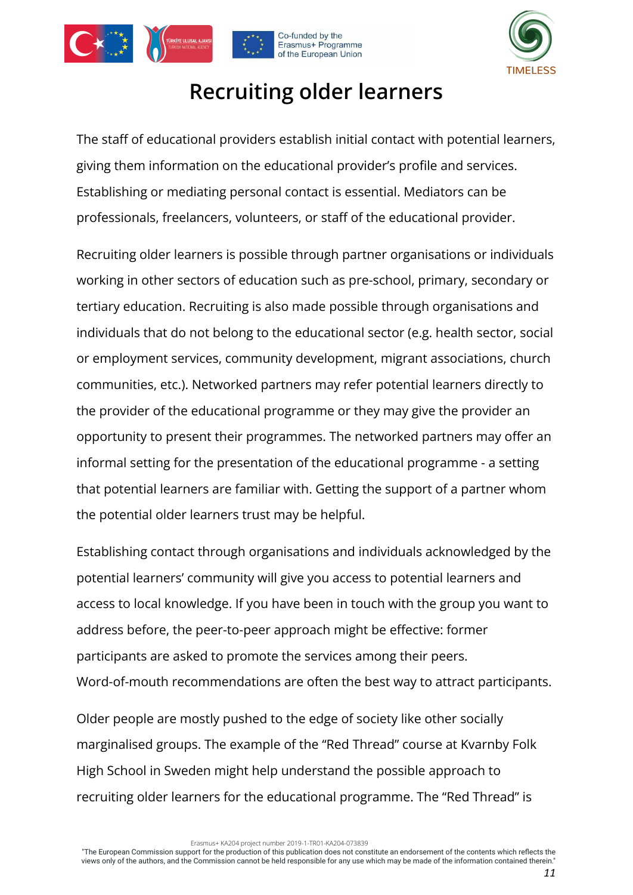<span id="page-10-0"></span>







### **Recruiting older learners**

The staff of educational providers establish initial contact with potential learners, giving them information on the educational provider's profile and services. Establishing or mediating personal contact is essential. Mediators can be professionals, freelancers, volunteers, or staff of the educational provider.

Recruiting older learners is possible through partner organisations or individuals working in other sectors of education such as pre-school, primary, secondary or tertiary education. Recruiting is also made possible through organisations and individuals that do not belong to the educational sector (e.g. health sector, social or employment services, community development, migrant associations, church communities, etc.). Networked partners may refer potential learners directly to the provider of the educational programme or they may give the provider an opportunity to present their programmes. The networked partners may offer an informal setting for the presentation of the educational programme - a setting that potential learners are familiar with. Getting the support of a partner whom the potential older learners trust may be helpful.

Establishing contact through organisations and individuals acknowledged by the potential learners' community will give you access to potential learners and access to local knowledge. If you have been in touch with the group you want to address before, the peer-to-peer approach might be effective: former participants are asked to promote the services among their peers. Word-of-mouth recommendations are often the best way to attract participants.

Older people are mostly pushed to the edge of society like other socially marginalised groups. The example of the "Red Thread" course at Kvarnby Folk High School in Sweden might help understand the possible approach to recruiting older learners for the educational programme. The "Red Thread" is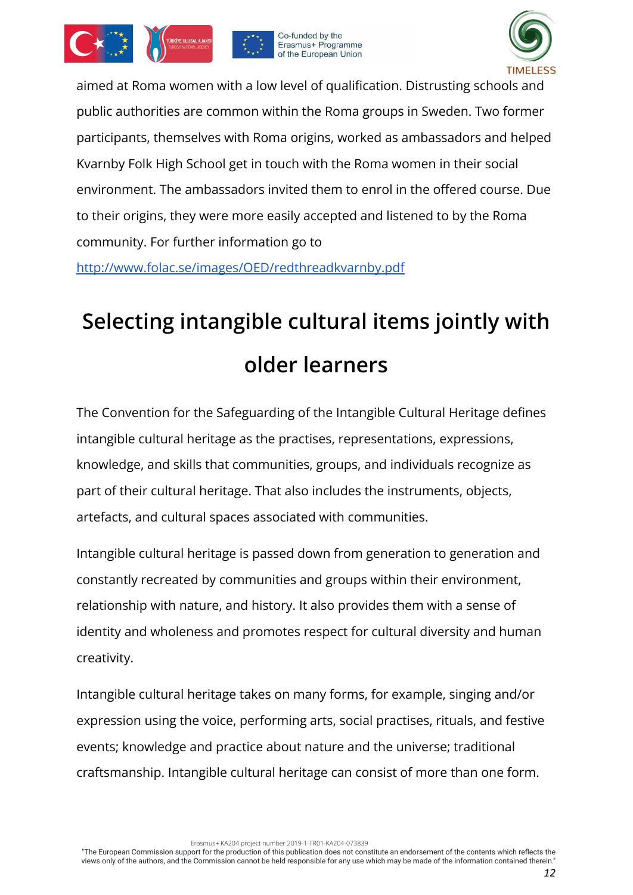







aimed at Roma women with a low level of qualification. Distrusting schools and public authorities are common within the Roma groups in Sweden. Two former participants, themselves with Roma origins, worked as ambassadors and helped Kvarnby Folk High School get in touch with the Roma women in their social environment. The ambassadors invited them to enrol in the offered course. Due to their origins, they were more easily accepted and listened to by the Roma community. For further information go to

<http://www.folac.se/images/OED/redthreadkvarnby.pdf>

# <span id="page-11-0"></span>**Selecting intangible cultural items jointly with older learners**

The Convention for the Safeguarding of the Intangible Cultural Heritage defines intangible cultural heritage as the practises, representations, expressions, knowledge, and skills that communities, groups, and individuals recognize as part of their cultural heritage. That also includes the instruments, objects, artefacts, and cultural spaces associated with communities.

Intangible cultural heritage is passed down from generation to generation and constantly recreated by communities and groups within their environment, relationship with nature, and history. It also provides them with a sense of identity and wholeness and promotes respect for cultural diversity and human creativity.

Intangible cultural heritage takes on many forms, for example, singing and/or expression using the voice, performing arts, social practises, rituals, and festive events; knowledge and practice about nature and the universe; traditional craftsmanship. Intangible cultural heritage can consist of more than one form.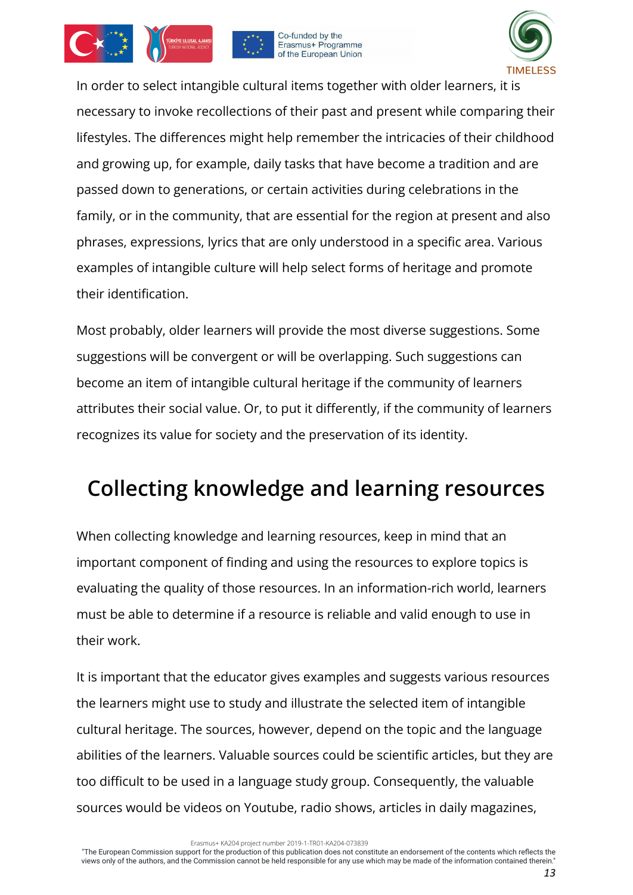





In order to select intangible cultural items together with older learners, it is necessary to invoke recollections of their past and present while comparing their lifestyles. The differences might help remember the intricacies of their childhood and growing up, for example, daily tasks that have become a tradition and are passed down to generations, or certain activities during celebrations in the family, or in the community, that are essential for the region at present and also phrases, expressions, lyrics that are only understood in a specific area. Various examples of intangible culture will help select forms of heritage and promote their identification.

Most probably, older learners will provide the most diverse suggestions. Some suggestions will be convergent or will be overlapping. Such suggestions can become an item of intangible cultural heritage if the community of learners attributes their social value. Or, to put it differently, if the community of learners recognizes its value for society and the preservation of its identity.

### <span id="page-12-0"></span>**Collecting knowledge and learning resources**

When collecting knowledge and learning resources, keep in mind that an important component of finding and using the resources to explore topics is evaluating the quality of those resources. In an information-rich world, learners must be able to determine if a resource is reliable and valid enough to use in their work.

It is important that the educator gives examples and suggests various resources the learners might use to study and illustrate the selected item of intangible cultural heritage. The sources, however, depend on the topic and the language abilities of the learners. Valuable sources could be scientific articles, but they are too difficult to be used in a language study group. Consequently, the valuable sources would be videos on Youtube, radio shows, articles in daily magazines,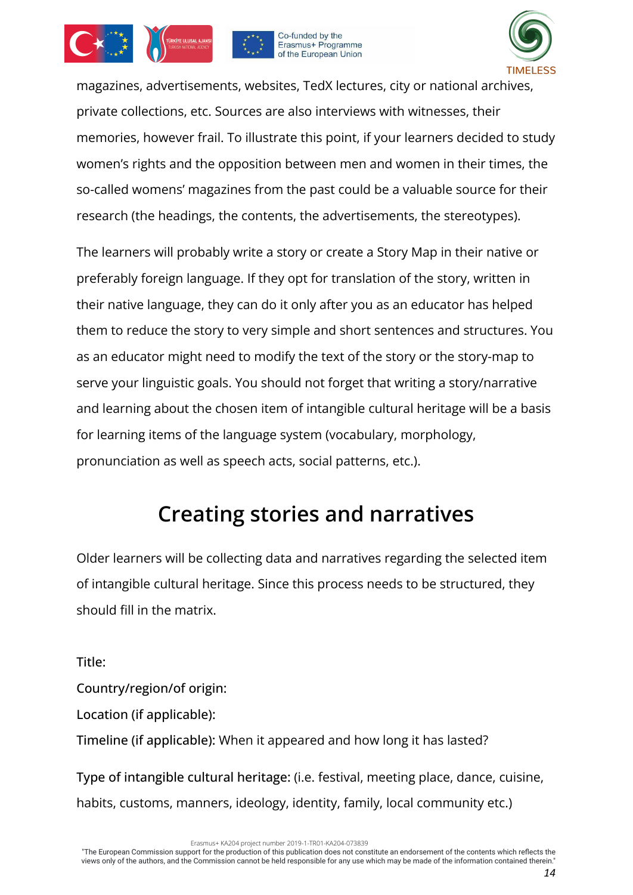





magazines, advertisements, websites, TedX lectures, city or national archives, private collections, etc. Sources are also interviews with witnesses, their memories, however frail. To illustrate this point, if your learners decided to study women's rights and the opposition between men and women in their times, the so-called womens' magazines from the past could be a valuable source for their research (the headings, the contents, the advertisements, the stereotypes).

The learners will probably write a story or create a Story Map in their native or preferably foreign language. If they opt for translation of the story, written in their native language, they can do it only after you as an educator has helped them to reduce the story to very simple and short sentences and structures. You as an educator might need to modify the text of the story or the story-map to serve your linguistic goals. You should not forget that writing a story/narrative and learning about the chosen item of intangible cultural heritage will be a basis for learning items of the language system (vocabulary, morphology, pronunciation as well as speech acts, social patterns, etc.).

### **Creating stories and narratives**

<span id="page-13-0"></span>Older learners will be collecting data and narratives regarding the selected item of intangible cultural heritage. Since this process needs to be structured, they should fill in the matrix.

Title: Country/region/of origin: Location (if applicable): Timeline (if applicable): When it appeared and how long it has lasted?

Type of intangible cultural heritage: (i.e. festival, meeting place, dance, cuisine, habits, customs, manners, ideology, identity, family, local community etc.)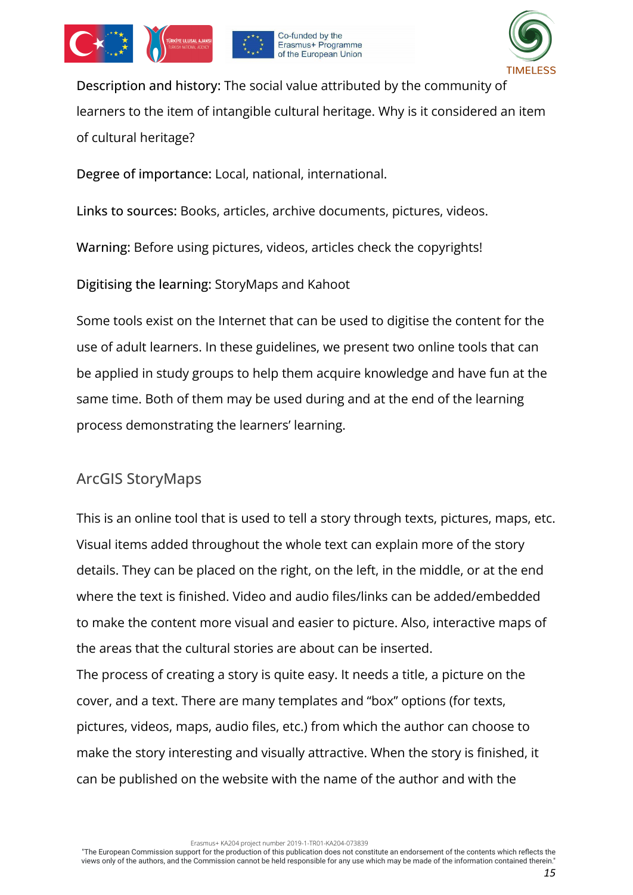







Description and history: The social value attributed by the community of learners to the item of intangible cultural heritage. Why is it considered an item of cultural heritage?

Degree of importance: Local, national, international.

Links to sources: Books, articles, archive documents, pictures, videos.

Warning: Before using pictures, videos, articles check the copyrights!

Digitising the learning: StoryMaps and Kahoot

Some tools exist on the Internet that can be used to digitise the content for the use of adult learners. In these guidelines, we present two online tools that can be applied in study groups to help them acquire knowledge and have fun at the same time. Both of them may be used during and at the end of the learning process demonstrating the learners' learning.

### <span id="page-14-0"></span>ArcGIS StoryMaps

This is an online tool that is used to tell a story through texts, pictures, maps, etc. Visual items added throughout the whole text can explain more of the story details. They can be placed on the right, on the left, in the middle, or at the end where the text is finished. Video and audio files/links can be added/embedded to make the content more visual and easier to picture. Also, interactive maps of the areas that the cultural stories are about can be inserted.

The process of creating a story is quite easy. It needs a title, a picture on the cover, and a text. There are many templates and "box" options (for texts, pictures, videos, maps, audio files, etc.) from which the author can choose to make the story interesting and visually attractive. When the story is finished, it can be published on the website with the name of the author and with the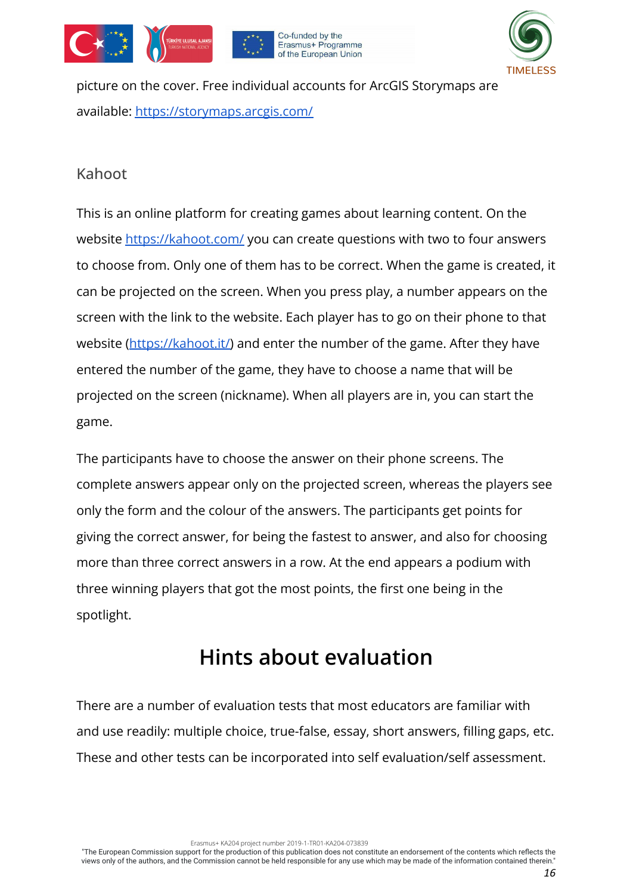







picture on the cover. Free individual accounts for ArcGIS Storymaps are available: <https://storymaps.arcgis.com/>

### <span id="page-15-0"></span>Kahoot

This is an online platform for creating games about learning content. On the website <https://kahoot.com/> you can create questions with two to four answers to choose from. Only one of them has to be correct. When the game is created, it can be projected on the screen. When you press play, a number appears on the screen with the link to the website. Each player has to go on their phone to that website ([https://kahoot.it/\)](https://kahoot.it/) and enter the number of the game. After they have entered the number of the game, they have to choose a name that will be projected on the screen (nickname). When all players are in, you can start the game.

The participants have to choose the answer on their phone screens. The complete answers appear only on the projected screen, whereas the players see only the form and the colour of the answers. The participants get points for giving the correct answer, for being the fastest to answer, and also for choosing more than three correct answers in a row. At the end appears a podium with three winning players that got the most points, the first one being in the spotlight.

### **Hints about evaluation**

<span id="page-15-1"></span>There are a number of evaluation tests that most educators are familiar with and use readily: multiple choice, true-false, essay, short answers, filling gaps, etc. These and other tests can be incorporated into self evaluation/self assessment.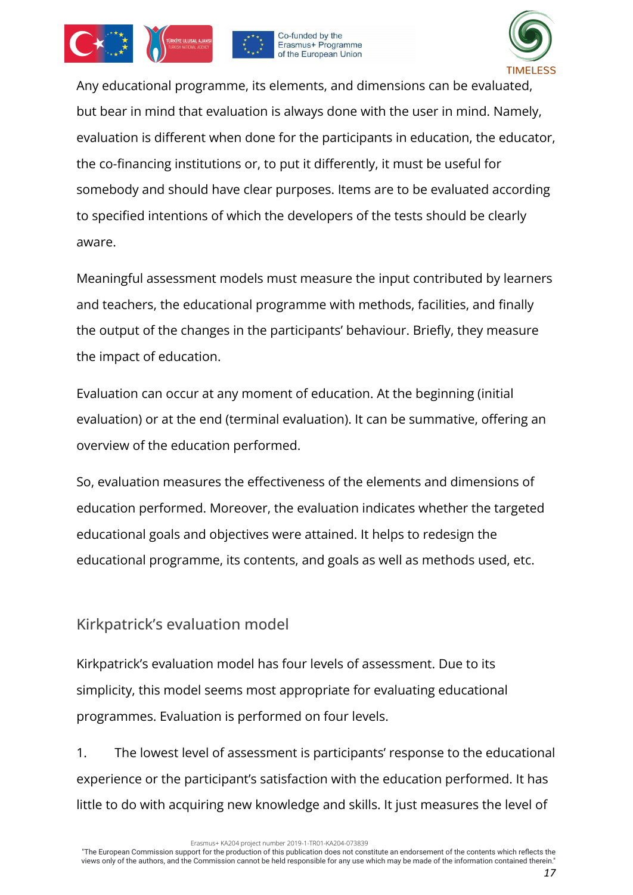





Any educational programme, its elements, and dimensions can be evaluated, but bear in mind that evaluation is always done with the user in mind. Namely, evaluation is different when done for the participants in education, the educator, the co-financing institutions or, to put it differently, it must be useful for somebody and should have clear purposes. Items are to be evaluated according to specified intentions of which the developers of the tests should be clearly aware.

Meaningful assessment models must measure the input contributed by learners and teachers, the educational programme with methods, facilities, and finally the output of the changes in the participants' behaviour. Briefly, they measure the impact of education.

Evaluation can occur at any moment of education. At the beginning (initial evaluation) or at the end (terminal evaluation). It can be summative, offering an overview of the education performed.

So, evaluation measures the effectiveness of the elements and dimensions of education performed. Moreover, the evaluation indicates whether the targeted educational goals and objectives were attained. It helps to redesign the educational programme, its contents, and goals as well as methods used, etc.

### <span id="page-16-0"></span>Kirkpatrick's evaluation model

Kirkpatrick's evaluation model has four levels of assessment. Due to its simplicity, this model seems most appropriate for evaluating educational programmes. Evaluation is performed on four levels.

1. The lowest level of assessment is participants' response to the educational experience or the participant's satisfaction with the education performed. It has little to do with acquiring new knowledge and skills. It just measures the level of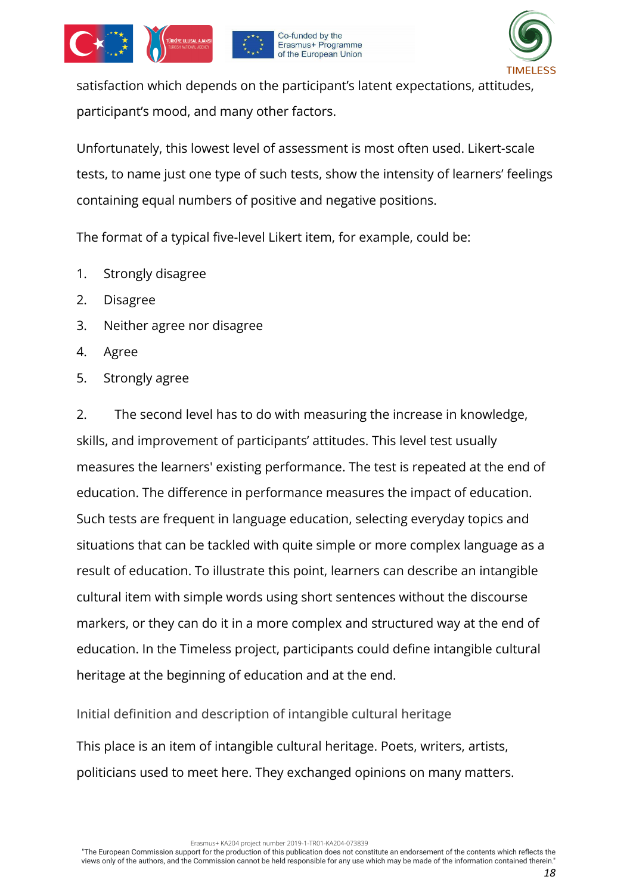

satisfaction which depends on the participant's latent expectations, attitudes, participant's mood, and many other factors.

Co-funded by the Erasmus+ Programme of the European Union

Unfortunately, this lowest level of assessment is most often used. Likert-scale tests, to name just one type of such tests, show the intensity of learners' feelings containing equal numbers of positive and negative positions.

The format of a typical five-level Likert item, for example, could be:

- 1. Strongly disagree
- 2. Disagree
- 3. Neither agree nor disagree
- 4. Agree
- 5. Strongly agree

2. The second level has to do with measuring the increase in knowledge, skills, and improvement of participants' attitudes. This level test usually measures the learners' existing performance. The test is repeated at the end of education. The difference in performance measures the impact of education. Such tests are frequent in language education, selecting everyday topics and situations that can be tackled with quite simple or more complex language as a result of education. To illustrate this point, learners can describe an intangible cultural item with simple words using short sentences without the discourse markers, or they can do it in a more complex and structured way at the end of education. In the Timeless project, participants could define intangible cultural heritage at the beginning of education and at the end.

<span id="page-17-0"></span>Initial definition and description of intangible cultural heritage

This place is an item of intangible cultural heritage. Poets, writers, artists, politicians used to meet here. They exchanged opinions on many matters.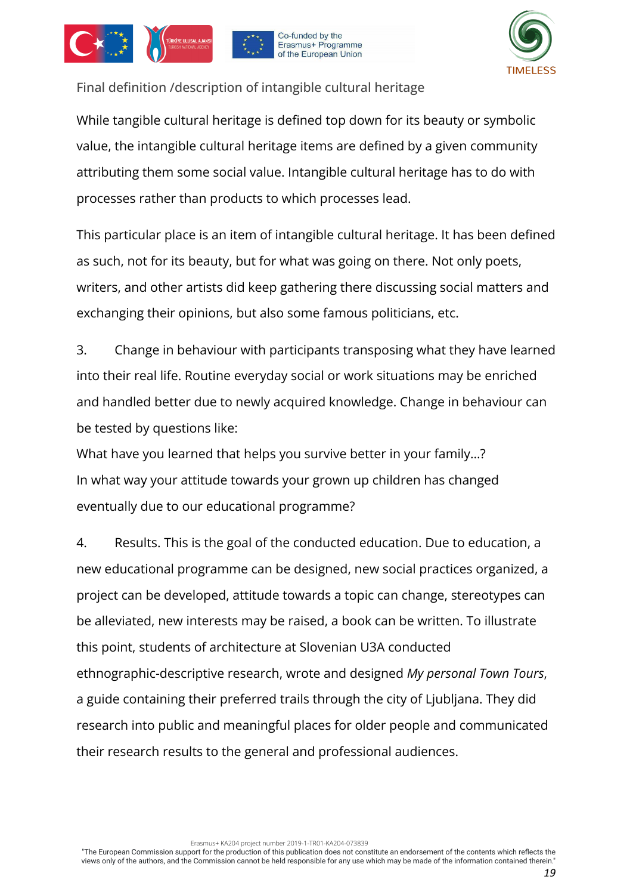





<span id="page-18-0"></span>Final definition /description of intangible cultural heritage

While tangible cultural heritage is defined top down for its beauty or symbolic value, the intangible cultural heritage items are defined by a given community attributing them some social value. Intangible cultural heritage has to do with processes rather than products to which processes lead.

This particular place is an item of intangible cultural heritage. It has been defined as such, not for its beauty, but for what was going on there. Not only poets, writers, and other artists did keep gathering there discussing social matters and exchanging their opinions, but also some famous politicians, etc.

3. Change in behaviour with participants transposing what they have learned into their real life. Routine everyday social or work situations may be enriched and handled better due to newly acquired knowledge. Change in behaviour can be tested by questions like:

What have you learned that helps you survive better in your family…? In what way your attitude towards your grown up children has changed eventually due to our educational programme?

4. Results. This is the goal of the conducted education. Due to education, a new educational programme can be designed, new social practices organized, a project can be developed, attitude towards a topic can change, stereotypes can be alleviated, new interests may be raised, a book can be written. To illustrate this point, students of architecture at Slovenian U3A conducted ethnographic-descriptive research, wrote and designed *My personal Town Tours*, a guide containing their preferred trails through the city of Ljubljana. They did research into public and meaningful places for older people and communicated their research results to the general and professional audiences.